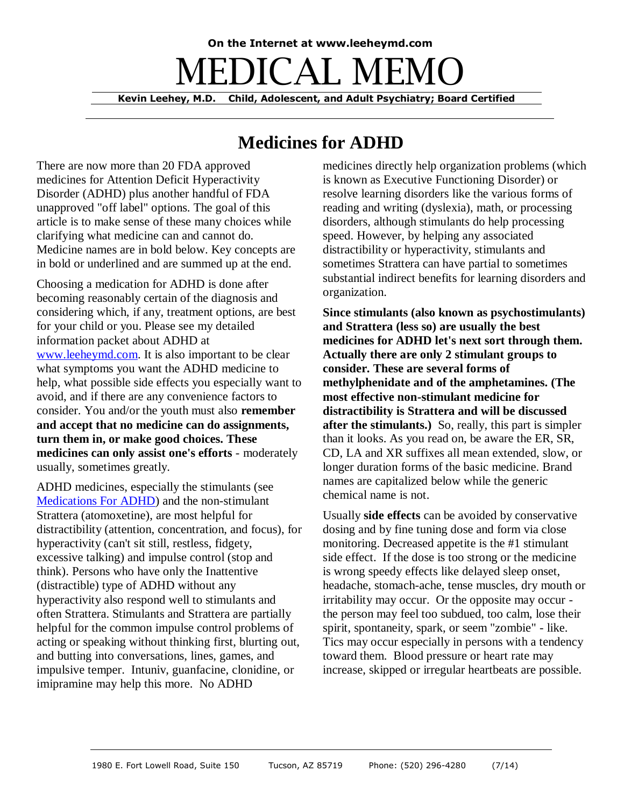# **On the Internet at www.leeheymd.com** EDICAL MFI **Kevin Leehey, M.D. Child, Adolescent, and Adult Psychiatry; Board Certified**

## **Medicines for ADHD**

There are now more than 20 FDA approved medicines for Attention Deficit Hyperactivity Disorder (ADHD) plus another handful of FDA unapproved "off label" options. The goal of this article is to make sense of these many choices while clarifying what medicine can and cannot do. Medicine names are in bold below. Key concepts are in bold or underlined and are summed up at the end.

Choosing a medication for ADHD is done after becoming reasonably certain of the diagnosis and considering which, if any, treatment options, are best for your child or you. Please see my detailed information packet about ADHD at [www.leeheymd.com.](http://leeheymd.com/medmemo/adhdinfo.html) It is also important to be clear what symptoms you want the ADHD medicine to help, what possible side effects you especially want to avoid, and if there are any convenience factors to consider. You and/or the youth must also **remember and accept that no medicine can do assignments, turn them in, or make good choices. These medicines can only assist one's efforts** - moderately usually, sometimes greatly.

ADHD medicines, especially the stimulants (see [Medications For ADHD\)](http://www.leeheymd.com/charts/adhd_1.html) and the non-stimulant Strattera (atomoxetine), are most helpful for distractibility (attention, concentration, and focus), for hyperactivity (can't sit still, restless, fidgety, excessive talking) and impulse control (stop and think). Persons who have only the Inattentive (distractible) type of ADHD without any hyperactivity also respond well to stimulants and often Strattera. Stimulants and Strattera are partially helpful for the common impulse control problems of acting or speaking without thinking first, blurting out, and butting into conversations, lines, games, and impulsive temper. Intuniv, guanfacine, clonidine, or imipramine may help this more. No ADHD

medicines directly help organization problems (which is known as Executive Functioning Disorder) or resolve learning disorders like the various forms of reading and writing (dyslexia), math, or processing disorders, although stimulants do help processing speed. However, by helping any associated distractibility or hyperactivity, stimulants and sometimes Strattera can have partial to sometimes substantial indirect benefits for learning disorders and organization.

**Since stimulants (also known as psychostimulants) and Strattera (less so) are usually the best medicines for ADHD let's next sort through them. Actually there are only 2 stimulant groups to consider. These are several forms of methylphenidate and of the amphetamines. (The most effective non-stimulant medicine for distractibility is Strattera and will be discussed after the stimulants.)** So, really, this part is simpler than it looks. As you read on, be aware the ER, SR, CD, LA and XR suffixes all mean extended, slow, or longer duration forms of the basic medicine. Brand names are capitalized below while the generic chemical name is not.

Usually **side effects** can be avoided by conservative dosing and by fine tuning dose and form via close monitoring. Decreased appetite is the #1 stimulant side effect. If the dose is too strong or the medicine is wrong speedy effects like delayed sleep onset, headache, stomach-ache, tense muscles, dry mouth or irritability may occur. Or the opposite may occur the person may feel too subdued, too calm, lose their spirit, spontaneity, spark, or seem "zombie" - like. Tics may occur especially in persons with a tendency toward them. Blood pressure or heart rate may increase, skipped or irregular heartbeats are possible.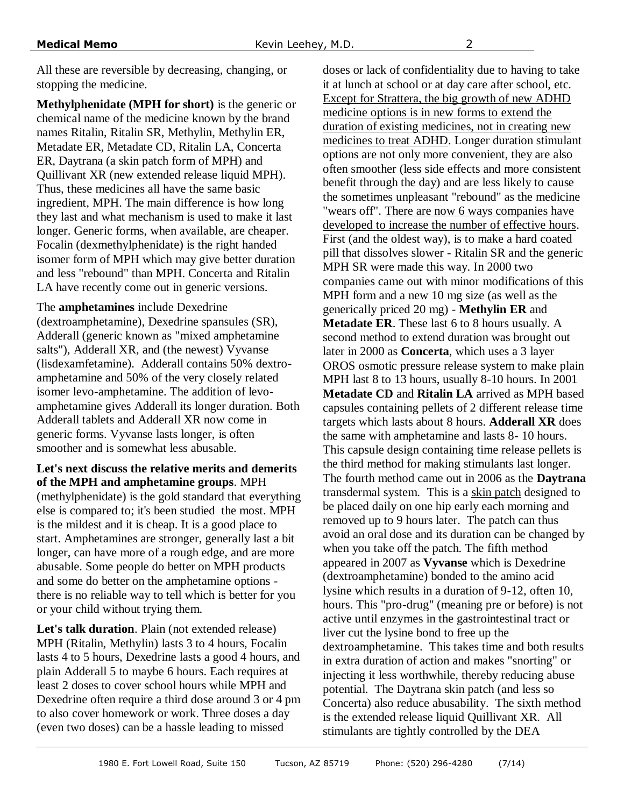All these are reversible by decreasing, changing, or stopping the medicine.

**Methylphenidate (MPH for short)** is the generic or chemical name of the medicine known by the brand names Ritalin, Ritalin SR, Methylin, Methylin ER, Metadate ER, Metadate CD, Ritalin LA, Concerta ER, Daytrana (a skin patch form of MPH) and Quillivant XR (new extended release liquid MPH). Thus, these medicines all have the same basic ingredient, MPH. The main difference is how long they last and what mechanism is used to make it last longer. Generic forms, when available, are cheaper. Focalin (dexmethylphenidate) is the right handed isomer form of MPH which may give better duration and less "rebound" than MPH. Concerta and Ritalin LA have recently come out in generic versions.

The **amphetamines** include Dexedrine (dextroamphetamine), Dexedrine spansules (SR), Adderall (generic known as "mixed amphetamine salts"), Adderall XR, and (the newest) Vyvanse (lisdexamfetamine). Adderall contains 50% dextroamphetamine and 50% of the very closely related isomer levo-amphetamine. The addition of levoamphetamine gives Adderall its longer duration. Both Adderall tablets and Adderall XR now come in generic forms. Vyvanse lasts longer, is often smoother and is somewhat less abusable.

### **Let's next discuss the relative merits and demerits of the MPH and amphetamine groups**. MPH

(methylphenidate) is the gold standard that everything else is compared to; it's been studied the most. MPH is the mildest and it is cheap. It is a good place to start. Amphetamines are stronger, generally last a bit longer, can have more of a rough edge, and are more abusable. Some people do better on MPH products and some do better on the amphetamine options there is no reliable way to tell which is better for you or your child without trying them.

**Let's talk duration**. Plain (not extended release) MPH (Ritalin, Methylin) lasts 3 to 4 hours, Focalin lasts 4 to 5 hours, Dexedrine lasts a good 4 hours, and plain Adderall 5 to maybe 6 hours. Each requires at least 2 doses to cover school hours while MPH and Dexedrine often require a third dose around 3 or 4 pm to also cover homework or work. Three doses a day (even two doses) can be a hassle leading to missed

doses or lack of confidentiality due to having to take it at lunch at school or at day care after school, etc. Except for Strattera, the big growth of new ADHD medicine options is in new forms to extend the duration of existing medicines, not in creating new medicines to treat ADHD. Longer duration stimulant options are not only more convenient, they are also often smoother (less side effects and more consistent benefit through the day) and are less likely to cause the sometimes unpleasant "rebound" as the medicine "wears off". There are now 6 ways companies have developed to increase the number of effective hours. First (and the oldest way), is to make a hard coated pill that dissolves slower - Ritalin SR and the generic MPH SR were made this way. In 2000 two companies came out with minor modifications of this MPH form and a new 10 mg size (as well as the generically priced 20 mg) - **Methylin ER** and **Metadate ER**. These last 6 to 8 hours usually. A second method to extend duration was brought out later in 2000 as **Concerta**, which uses a 3 layer OROS osmotic pressure release system to make plain MPH last 8 to 13 hours, usually 8-10 hours. In 2001 **Metadate CD** and **Ritalin LA** arrived as MPH based capsules containing pellets of 2 different release time targets which lasts about 8 hours. **Adderall XR** does the same with amphetamine and lasts 8- 10 hours. This capsule design containing time release pellets is the third method for making stimulants last longer. The fourth method came out in 2006 as the **Daytrana** transdermal system. This is a skin patch designed to be placed daily on one hip early each morning and removed up to 9 hours later. The patch can thus avoid an oral dose and its duration can be changed by when you take off the patch. The fifth method appeared in 2007 as **Vyvanse** which is Dexedrine (dextroamphetamine) bonded to the amino acid lysine which results in a duration of 9-12, often 10, hours. This "pro-drug" (meaning pre or before) is not active until enzymes in the gastrointestinal tract or liver cut the lysine bond to free up the dextroamphetamine. This takes time and both results in extra duration of action and makes "snorting" or injecting it less worthwhile, thereby reducing abuse potential. The Daytrana skin patch (and less so Concerta) also reduce abusability. The sixth method is the extended release liquid Quillivant XR. All stimulants are tightly controlled by the DEA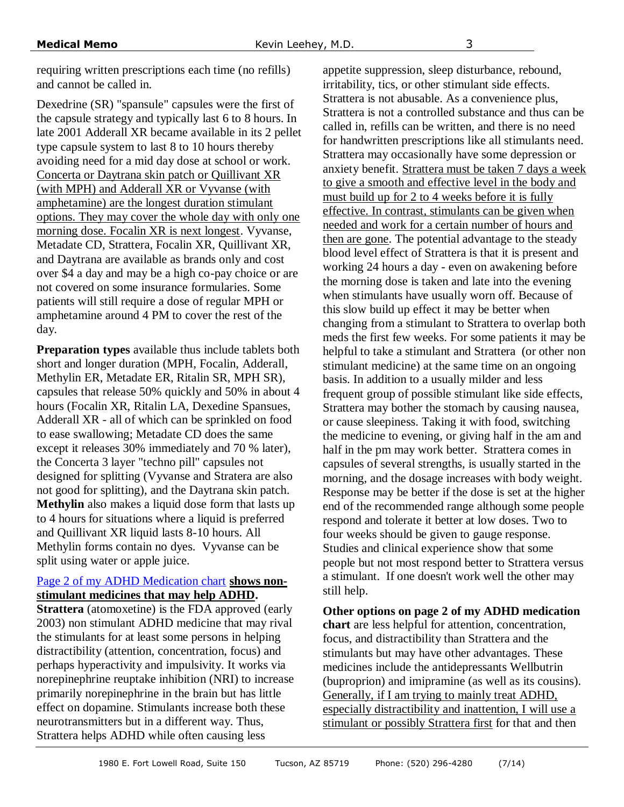requiring written prescriptions each time (no refills) and cannot be called in.

Dexedrine (SR) "spansule" capsules were the first of the capsule strategy and typically last 6 to 8 hours. In late 2001 Adderall XR became available in its 2 pellet type capsule system to last 8 to 10 hours thereby avoiding need for a mid day dose at school or work. Concerta or Daytrana skin patch or Quillivant XR (with MPH) and Adderall XR or Vyvanse (with amphetamine) are the longest duration stimulant options. They may cover the whole day with only one morning dose. Focalin XR is next longest. Vyvanse, Metadate CD, Strattera, Focalin XR, Quillivant XR, and Daytrana are available as brands only and cost over \$4 a day and may be a high co-pay choice or are not covered on some insurance formularies. Some patients will still require a dose of regular MPH or amphetamine around 4 PM to cover the rest of the day.

**Preparation types** available thus include tablets both short and longer duration (MPH, Focalin, Adderall, Methylin ER, Metadate ER, Ritalin SR, MPH SR), capsules that release 50% quickly and 50% in about 4 hours (Focalin XR, Ritalin LA, Dexedine Spansues, Adderall XR - all of which can be sprinkled on food to ease swallowing; Metadate CD does the same except it releases 30% immediately and 70 % later), the Concerta 3 layer "techno pill" capsules not designed for splitting (Vyvanse and Stratera are also not good for splitting), and the Daytrana skin patch. **Methylin** also makes a liquid dose form that lasts up to 4 hours for situations where a liquid is preferred and Quillivant XR liquid lasts 8-10 hours. All Methylin forms contain no dyes. Vyvanse can be split using water or apple juice.

#### [Page 2 of my ADHD Medication chart](http://www.leeheymd.com/charts/adhd_1.html#2) **shows nonstimulant medicines that may help ADHD.**

**Strattera** (atomoxetine) is the FDA approved (early 2003) non stimulant ADHD medicine that may rival the stimulants for at least some persons in helping distractibility (attention, concentration, focus) and perhaps hyperactivity and impulsivity. It works via norepinephrine reuptake inhibition (NRI) to increase primarily norepinephrine in the brain but has little effect on dopamine. Stimulants increase both these neurotransmitters but in a different way. Thus, Strattera helps ADHD while often causing less

appetite suppression, sleep disturbance, rebound, irritability, tics, or other stimulant side effects. Strattera is not abusable. As a convenience plus, Strattera is not a controlled substance and thus can be called in, refills can be written, and there is no need for handwritten prescriptions like all stimulants need. Strattera may occasionally have some depression or anxiety benefit. Strattera must be taken 7 days a week to give a smooth and effective level in the body and must build up for 2 to 4 weeks before it is fully effective. In contrast, stimulants can be given when needed and work for a certain number of hours and then are gone. The potential advantage to the steady blood level effect of Strattera is that it is present and working 24 hours a day - even on awakening before the morning dose is taken and late into the evening when stimulants have usually worn off. Because of this slow build up effect it may be better when changing from a stimulant to Strattera to overlap both meds the first few weeks. For some patients it may be helpful to take a stimulant and Strattera (or other non stimulant medicine) at the same time on an ongoing basis. In addition to a usually milder and less frequent group of possible stimulant like side effects, Strattera may bother the stomach by causing nausea, or cause sleepiness. Taking it with food, switching the medicine to evening, or giving half in the am and half in the pm may work better. Strattera comes in capsules of several strengths, is usually started in the morning, and the dosage increases with body weight. Response may be better if the dose is set at the higher end of the recommended range although some people respond and tolerate it better at low doses. Two to four weeks should be given to gauge response. Studies and clinical experience show that some people but not most respond better to Strattera versus a stimulant. If one doesn't work well the other may still help.

**Other options on page 2 of my ADHD medication chart** are less helpful for attention, concentration, focus, and distractibility than Strattera and the stimulants but may have other advantages. These medicines include the antidepressants Wellbutrin (buproprion) and imipramine (as well as its cousins). Generally, if I am trying to mainly treat ADHD, especially distractibility and inattention, I will use a stimulant or possibly Strattera first for that and then